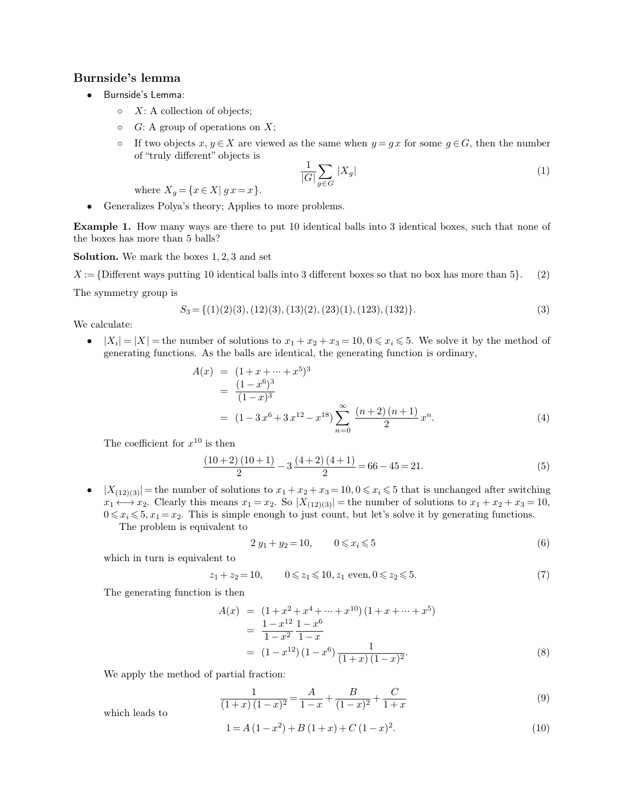## **Burnside's lemma**<br>• Burnside's Lemma:

- -
	-
- **a**<br>
 Burnside's Lemma:<br>
 X: A collection of objects;<br>
 G: A group of operations on X;<br>
 If two objects  $x, y \in X$  are viewed as the same when  $y = gx$  for some  $g \in G$ , then the number<br>
of "truly different" objects is<br>  $1 \$ Burnside's Lemma:<br>  $\circ$  X: A collection of objects;<br>  $\circ$  G: A group of operations on X;<br>  $\circ$  If two objects  $x, y \in X$  are viewed as the same when  $y = gx$  for some  $g \in G$ , then the number<br>
of "truly different" objects is o If two objects  $x, y \in X$  are viewed as the same where<br>of "truly different" objects is<br> $\frac{1}{|G|} \sum_{g \in G} |X_g|$ <br>where  $X_g = \{x \in X | g x = x\}$ .<br>Ceneralizes Polya's theory; Applies to more problems.<br>ample 1 How many ways are ther

$$
\frac{1}{|G|} \sum_{g \in G} |X_g| \tag{1}
$$

**Example 1.** How many ways are there to put 10 identical balls into 3 identical boxes, such that none of the boxes has more than 5 balls? where  $X_g = \{x \in X | g x = x$ <br>
• Generalizes Polya's theory; Applic<br> **Example 1.** How many ways are there<br>
the boxes has more than 5 balls?<br> **Solution.** We mark the boxes 1, 2, 3 and • Generalizes Polya's theory; Applies to more<br>**Example 1.** How many ways are there to put 10<br>the boxes has more than 5 balls?<br>**Solution.** We mark the boxes 1, 2, 3 and set<br> $X := \{\text{Different ways putting 10 identical balls into$ **Example 1.** How many ways are there to put 10 identical balls into 3 identical boxes, such that none of the boxes has more than 5 balls?<br>**Solution.** We mark the boxes 1, 2, 3 and set  $X := \{\text{Different ways putting } 10 \text{ identical balls into } 3 \text{ different boxes so that no box has more than 5$ the boxes has more than 5 balls?<br> **Solution.** We mark the boxes 1, 2, 3 and set<br>  $X := \{\text{Different ways putting } 10 \text{ identical ball}\}$ <br>
The symmetry group is

\n- $$
X := \{\text{Different ways putting } 10 \text{ identical balls into } 3 \text{ different boxes so that no box has more than } 5\}.
$$
 (2) The symmetry group is\n  $S_3 = \{(1)(2)(3), (12)(3), (13)(2), (23)(1), (123), (132)\}.$  (3) We calculate:\n
	\n- $|X_i| = |X|$  = the number of solutions to  $x_1 + x_2 + x_3 = 10, 0 \leq x_i \leq 5$ . We solve it by the method of
	\n\n
\n

mmetry group is<br>  $S_3 = \{(1)(2)(3), (12)(3), (13)(2), (23)(1), (123), (132)\}.$ <br>
culate:<br>  $|X_i| = |X|$  = the number of solutions to  $x_1 + x_2 + x_3 = 10, 0 \le x_i \le 5$ . We solve it by the generating functions. As the balls are identical, the generat

$$
A(x) = (1+x+...+x^5)
$$
\nwhere  $x_1 + x_2 + x_3 = 10, 0 \le x_i \le 5$ . We solve it by the method of

\ns. As the balls are identical, the generating function is ordinary,

\n
$$
A(x) = (1+x+...+x^5)^3
$$
\n
$$
= \frac{(1-x^6)^3}{(1-x)^3}
$$
\n
$$
= (1-3x^6+3x^{12}-x^{18}) \sum_{n=0}^{\infty} \frac{(n+2)(n+1)}{2} x^n.
$$
\n(4)

\n
$$
x^{10}
$$
\nis then

\n
$$
\frac{(10+2)(10+1)}{2} - 3 \frac{(4+2)(4+1)}{2} = 66 - 45 = 21.
$$
\n(5)

The coefficient for  $x^{10}$  is then

$$
\frac{(10+2)(10+1)}{2} - 3\frac{(4+2)(4+1)}{2} = 66 - 45 = 21.
$$
\n(5)

*n*=0<br> *j*<br> **j**  $\frac{(10+2)(10+1)}{2} - 3\frac{(4+2)(4+1)}{2} = 66 - 45 = 21.$  (5)<br> **e**  $|X_{(12)(3)}|$  = the number of solutions to  $x_1 + x_2 + x_3 = 10, 0 \le x_i \le 5$  that is unchanged after switching<br>  $x_1 \leftrightarrow x_2$ . Clearly this means  $x_1 = x_2$ The coefficient for  $x^{10}$  is then<br>  $\frac{(10+2)(10+1)}{2} - 3\frac{(4+2)(4+1)}{2} = 66 - 45 = 21.$  (5)<br>  $|X_{(12)(3)}|$  = the number of solutions to  $x_1 + x_2 + x_3 = 10, 0 \le x_i \le 5$  that is unchanged after switching<br>  $x_1 \leftrightarrow x_2$ . Clearly this  $\frac{1}{2}$ <br>  $\frac{1}{2}$ <br>  $\frac{1}{2}$ <br>  $\frac{1}{2}$ <br>  $\frac{1}{2}$ <br>  $\frac{1}{2}$ <br>  $\frac{1}{2}$ <br>  $\frac{1}{2}$ <br>  $\frac{1}{2}$ <br>  $\frac{1}{2}$ <br>  $\frac{1}{2}$ <br>  $\frac{1}{2}$ <br>  $\frac{1}{2}$ <br>  $\frac{1}{2}$ <br>  $\frac{1}{2}$ <br>  $\frac{1}{2}$ <br>  $\frac{1}{2}$ <br>  $\frac{1}{2}$ <br>  $\frac{1}{2}$ <br>  $\frac{1}{2}$ <br>  $x_1 \leftrightarrow x_2$ . Clearly this means  $x_1 = x_2$ <br>  $0 \le x_i \le 5, x_1 = x_2$ . This is simple enou<br>
The problem is equivalent to<br>  $2 y_1$ -<br>
which in turn is equivalent to<br>  $z_1 + z_2 = 10$ ,

$$
2 y_1 + y_2 = 10, \qquad 0 \leq x_i \leq 5 \tag{6}
$$

Example enough to just count, but let *S* solve it by generating functions.

\nivalent to

\n
$$
2 y_1 + y_2 = 10, \qquad 0 \leq x_i \leq 5
$$
\nlent to

\n
$$
z_1 + z_2 = 10, \qquad 0 \leq z_1 \leq 10, z_1 \text{ even}, 0 \leq z_2 \leq 5.
$$
\n(7)

\na is then

2  $y_1 + y_2$ <br>which in turn is equivalent to<br> $z_1 + z_2 = 10$ ,<br>The generating function is then<br> $A(x) = (1 + x_2)$ 

which in turn is equivalent to  
\n
$$
z_1 + z_2 = 10, \qquad 0 \le z_1 \le 10, z_1 \text{ even}, 0 \le z_2 \le 5. \tag{7}
$$
\nThe generating function is then  
\n
$$
A(x) = (1 + x^2 + x^4 + \dots + x^{10})(1 + x + \dots + x^5)
$$
\n
$$
= \frac{1 - x^{12}}{1 - x^2} \cdot \frac{1 - x^6}{1 - x}
$$
\n
$$
= (1 - x^{12})(1 - x^6) \cdot \frac{1}{(1 + x)(1 - x)^2}.
$$
\n(8)  
\nWe apply the method of partial fraction:  
\n
$$
1 \qquad A \qquad B \qquad C
$$

We apply the method<br>which leads to

$$
= (1 - x^{12}) (1 - x^{6}) \frac{1}{(1 + x) (1 - x)^{2}}.
$$
\n(8)

\npartial fraction:

\n
$$
\frac{1}{(1 + x) (1 - x)^{2}} = \frac{A}{1 - x} + \frac{B}{(1 - x)^{2}} + \frac{C}{1 + x}
$$
\n(9)

\n
$$
1 = A (1 - x^{2}) + B (1 + x) + C (1 - x)^{2}.
$$
\n(10)

$$
1 = A(1 - x2) + B(1 + x) + C(1 - x)2.
$$
\n(10)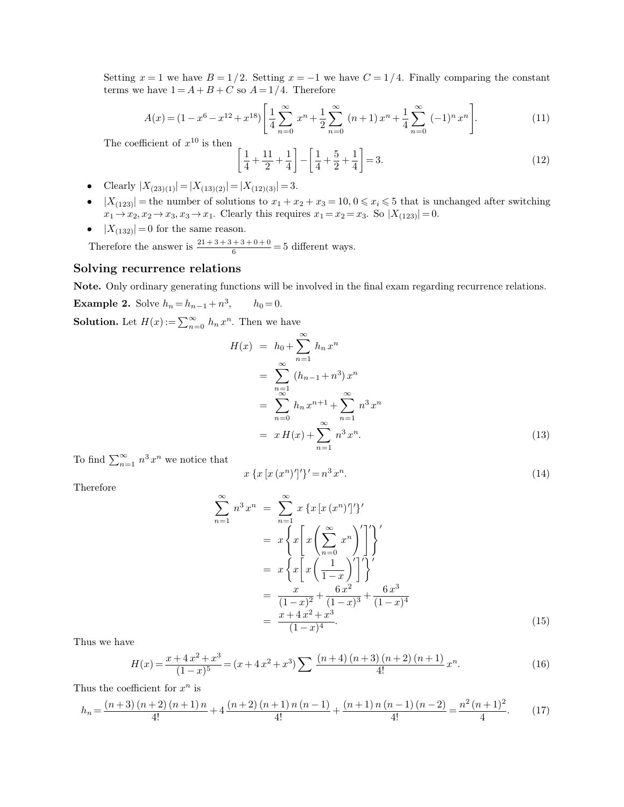Setting  $x = 1$  we have  $B = 1/2$ . Setting  $x = -1$  we have  $C = 1/4$ . Finally comparing the constant terms we have  $1 = A + B + C$  so  $A = 1/4$ . Therefore Setting  $x = 1$  we have  $B = 1/2$ . Setting  $x = -1$  we have  $C$  terms we have  $1 = A + B + C$  so  $A = 1/4$ . Therefore

Setting 
$$
x = 1
$$
 we have  $B = 1/2$ . Setting  $x = -1$  we have  $C = 1/4$ . Finally comparing the constant  
terms we have  $1 = A + B + C$  so  $A = 1/4$ . Therefore  

$$
A(x) = (1 - x^6 - x^{12} + x^{18}) \left[ \frac{1}{4} \sum_{n=0}^{\infty} x^n + \frac{1}{2} \sum_{n=0}^{\infty} (n+1) x^n + \frac{1}{4} \sum_{n=0}^{\infty} (-1)^n x^n \right].
$$
(11)  
The coefficient of  $x^{10}$  is then  

$$
\left[ \frac{1}{4} + \frac{11}{2} + \frac{1}{4} \right] - \left[ \frac{1}{4} + \frac{5}{2} + \frac{1}{4} \right] = 3.
$$
(12)

efficient of 
$$
x^{10}
$$
 is then  
\n
$$
\left[\frac{1}{4} + \frac{11}{2} + \frac{1}{4}\right] - \left[\frac{1}{4} + \frac{5}{2} + \frac{1}{4}\right] = 3.
$$
\n(12)  
\n
$$
|X_{(23)(1)}| = |X_{(13)(2)}| = |X_{(12)(3)}| = 3.
$$
\n
$$
| =
$$
the number of solutions to  $x_1 + x_2 + x_3 = 10, 0 \le x_i \le 5$  that is unchanged after switching  
\n
$$
x_2, x_2 \to x_3, x_3 \to x_1.
$$
 Clearly this requires  $x_1 = x_2 = x_3$ . So  $|X_{(123)}| = 0$ .

- 
- The coefficient of  $x^{10}$  is then<br>  $\left[\frac{1}{4} + \frac{11}{2} + \frac{1}{4}\right] \left[\frac{1}{4} + \frac{5}{2}\right]$ <br>
 Clearly  $|X_{(23)(1)}| = |X_{(13)(2)}| = |X_{(12)(3)}| = 3$ .<br>
  $|X_{(123)}|$  = the number of solutions to  $x_1 + x_2 + x_3 = 1$ *x*<sub>(123)</sub>(1)<sup>*x*</sup> =  $|X_{(13)(2)}| = |X_{(13)(2)}| = |X_{(12)(3)}| = 3.$ <br> *x*<sub>(123</sub>) = the number of solutions to  $x_1 + x_2 + x_3 = 10, 0 \le x_i \le 5$  that is  $x_1 \to x_2, x_2 \to x_3, x_3 \to x_1$ . Clearly this requires  $x_1 = x_2 = x_3$ . So  $|X_{(123)}| =$ *j*  $\frac{1}{4} + \frac{11}{2} + \frac{1}{4} - \frac{1}{4} + \frac{3}{2} + \frac{1}{4} = 3.$ <br>
• Clearly  $|X_{(23)(1)}| = |X_{(13)(2)}| = |X_{(12)(3)}| = 3.$ <br>
•  $|X_{(123)}|$  = the number of solutions to  $x_1 + x_2 + x_3 = 10, 0 \le x_i \le 5$  that is unchanged  $x_1 \rightarrow x_2, x_2 \rightarrow x_3, x_$ Clearly  $|X_{(23)(1)}| = |X_{(13)(2)}| = |X_{(12)(3)}| = 3.$ <br>  $|X_{(123)}|$  = the number of solutions to  $x_1 + x_2 + x_3 = 10, 0 \le x$ <br>  $x_1 \rightarrow x_2, x_2 \rightarrow x_3, x_3 \rightarrow x_1$ . Clearly this requires  $x_1 = x_2 = x_3$ .<br>  $|X_{(132)}| = 0$  for the same reason.<br>
Th •  $|X_{(123)}|$  = the number of solutions to  $x_1$ <br> $x_1 \rightarrow x_2, x_2 \rightarrow x_3, x_3 \rightarrow x_1$ . Clearly this r<br>•  $|X_{(132)}| = 0$  for the same reason.<br>Therefore the answer is  $\frac{21+3+3+3+0+0}{6}$  =<br>**Solving recurrence relations**<br>**Note.** Onl
	-

•  $|X_{(132)}| = 0$  for the same reason.<br>
Therefore the answer is  $\frac{21+3+3+3+0+0}{6} = 5$  different ways.<br> **Solving recurrence relations**<br> **Note.** Only ordinary generating functions will be involved in the final exam regardi

**Example 2.** Solve  $h_n = h_{n-1} + n^3$ ,  $h_0 =$ **Solving recurrence relations**<br>**Note.** Only ordinary generating functions will be involve<br>**Example 2.** Solve  $h_n = h_{n-1} + n^3$ ,  $h_0 = 0$ .<br>**Solution.** Let  $H(x) := \sum_{n=0}^{\infty} h_n x^n$ . Then we have **nns**<br>anctions will be involved<br>3,  $h_0 = 0$ .<br>n. Then we have

$$
H(x) = h_0 + \sum_{n=1}^{\infty} h_n x^n
$$
  
= 
$$
\sum_{\substack{n=1 \ n \geq 0}}^{\infty} (h_{n-1} + n^3) x^n
$$
  
= 
$$
\sum_{n=0}^{\infty} h_n x^{n+1} + \sum_{n=1}^{\infty} n^3 x^n
$$
  
= 
$$
x H(x) + \sum_{n=1}^{\infty} n^3 x^n.
$$
 (13)  
*n* we notice that  

$$
x \{x [x (x^n)']'\}' = n^3 x^n.
$$
 (14)

To find  $\sum_{n=1}^{\infty} n^3 x^n$  we noti  $\sum_{n=1}^{\infty} n^3 x^n$  we notice

$$
x\left\{x\left[x\left(x^{n}\right)'\right]'\right\}' = n^{3}x^{n}.\tag{14}
$$

Therefore

$$
\sum_{n=1}^{\infty} n^3 x^n = \sum_{n=1}^{\infty} x \{x [x (x^n)']'\}
$$
  
\n
$$
= x \left\{ x \left[ x \left( \sum_{n=0}^{\infty} x^n \right)' \right] \right\}'
$$
  
\n
$$
= x \left\{ x \left[ x \left( \frac{1}{1-x} \right)' \right] \right\}'
$$
  
\n
$$
= \frac{x}{(1-x)^2} + \frac{6 x^2}{(1-x)^3} + \frac{6 x^3}{(1-x)^4}
$$
  
\n
$$
= \frac{x + 4 x^2 + x^3}{(1-x)^4}.
$$
  
\n
$$
\sum_{n=0}^{\infty} x^n = (x + 4x^2 + x^3) \sum_{n=0}^{\infty} \frac{(n+4)(n+3)(n+2)(n+1)}{4!} x^n.
$$
 (16)

Thus we have  $H(x) =$ 

$$
\begin{aligned}\n\text{Thus we have} & \text{if } \left(1-x\right)^2 \quad (1-x)^3 \quad (1-x)^4 \\
&= \frac{x+4x^2+x^3}{(1-x)^4}.\n\end{aligned}\n\tag{15}
$$
\n
$$
\text{Thus, the coefficient for } x^n \text{ is}
$$
\n
$$
h_n = \frac{(n+3)(n+2)(n+1)n}{4!} + 4\frac{(n+2)(n+1)n(n-1)}{4!} + \frac{(n+1)n(n-1)(n-2)}{4!} = \frac{n^2(n+1)^2}{4!}.\n\tag{17}
$$

*<sup>n</sup>* is

$$
H(x) = \frac{x + 4x^2 + x^3}{(1 - x)^5} = (x + 4x^2 + x^3) \sum \frac{(n + 4)(n + 3)(n + 2)(n + 1)}{4!} x^n.
$$
 (16)  
\nThus the coefficient for  $x^n$  is  
\n
$$
h_n = \frac{(n + 3)(n + 2)(n + 1)n}{4!} + 4 \frac{(n + 2)(n + 1)n(n - 1)}{4!} + \frac{(n + 1)n(n - 1)(n - 2)}{4!} = \frac{n^2(n + 1)^2}{4}.
$$
 (17)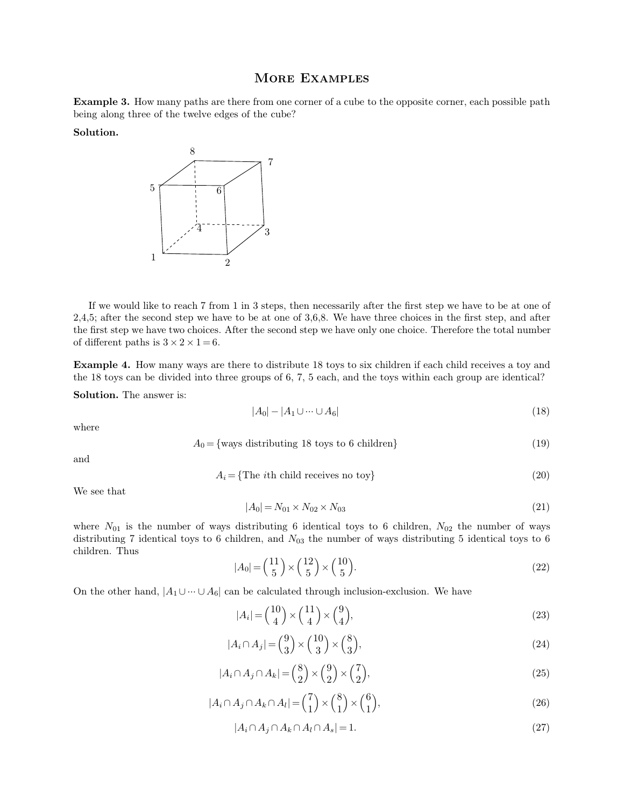MORE EXAMPLES<br>from one corner of a cube to the oppo **Example 3.** How many paths are there from one corner of a cube to the opposite corner, each possible path being along three of the twelve edges of the cube? **being along three of the twelve edges of the cube?**<br>Solution.

## **Solution.**



If we would like to reach 7 from 1 in 3 steps, then necessarily after the first step we have to be at one of 5; after the second step we have to be at one of 3,6,8. We have three choices in the first step, and after <sup>2</sup><br>
2<br>
If we would like to reach 7 from 1 in 3 steps, then necessarily after the first step we have to be at one of<br>
2,4,5; after the second step we have to be at one of 3,6,8. We have three choices in the first step, an If we would like to reach 7 from 1 in 3 steps, then necessarily after the first step we have to be at one of 2,4,5; after the second step we have to be at one of 3,6,8. We have three choices in the first step, and after t If we would like to reach 7<br>2,4,5; after the second step we<br>the first step we have two choi<br>of different paths is  $3 \times 2 \times 1$ of different paths is  $3 \times 2 \times 1 = 6$ . If we would like to reach 7 from 1 in 3 steps, then necessarily after the first step we have to be at one of 2,4,5; after the second step we have to be at one of 3,6,8. We have three choices in the first step, and after t 2,4,5; after the second step we have to be at one of 3,6,8. We have three choices in the first step, and after the first step we have two choices. After the second step we have only one choice. Therefore the total number

of different paths is  $3 \times 2 \times 1 = 6$ .<br>**Example 4.** How many ways are 18 toys can be divided into the **Solution**. The answer is:

$$
|A_0| - |A_1 \cup \dots \cup A_6| \tag{18}
$$

where

into three groups of 0, 7, 5 each, and the boys within each group are identical:

\n
$$
|A_0| - |A_1 \cup \cdots \cup A_6| \tag{18}
$$
\n
$$
A_0 = \{\text{ways distributing 18 toys to 6 children}\}\tag{19}
$$
\n
$$
A_i = \{\text{The } i\text{th child receives no toy}\}\tag{20}
$$

and

$$
A_i = \{ \text{The } i \text{th child receives no toy} \} \tag{20}
$$

where  $\Box$ <br>and  $\Box$ 

$$
|A_0| = N_{01} \times N_{02} \times N_{03} \tag{21}
$$

We see that<br>  $|A_0| = N_{01} \times N_{02} \times N_{03}$  (20)<br>
where  $N_{01}$  is the number of ways distributing 6 identical toys to 6 children,  $N_{02}$  the number of ways<br>
distributing 7 identical toys to 6 children, and  $N_{03}$  the numb We see that<br>  $|A_0| = N_{01} \times N_{02} \times N_{03}$  (20)<br>
where  $N_{01}$  is the number of ways distributing 6 identical toys to 6 children,  $N_{02}$  the number of ways<br>
distributing 7 identical toys to 6 children, and  $N_{03}$  the numb We see that<br>where  $N_{01}$  is the nu<br>distributing 7 identic<br>children. Thus distributing 7 identical toys to 6 children, and  $N_{03}$  the number of ways distributing 5 identical toys to 6 children. Thus  $|A_0| = \binom{11}{5} \times \binom{12}{5} \times \binom{10}{5}$ . (22)<br>On the other hand,  $|A_1 \cup \cdots \cup A_6|$  can be calcu

$$
|A_0| = \left(\begin{array}{c} 11 \\ 5 \end{array}\right) \times \left(\begin{array}{c} 12 \\ 5 \end{array}\right) \times \left(\begin{array}{c} 10 \\ 5 \end{array}\right). \tag{22}
$$

$$
|A_i| = \binom{10}{4} \times \binom{11}{4} \times \binom{9}{4},\tag{23}
$$

$$
|A_i \cap A_j| = \binom{9}{3} \times \binom{10}{3} \times \binom{8}{3},\tag{24}
$$

$$
|A_i \cap A_j \cap A_k| = \binom{8}{2} \times \binom{9}{2} \times \binom{7}{2},\tag{25}
$$

$$
|A_i \cap A_j \cap A_k| = \binom{8}{2} \times \binom{9}{2} \times \binom{7}{2},\tag{25}
$$
  

$$
|A_i \cap A_j \cap A_k \cap A_l| = \binom{7}{1} \times \binom{8}{1} \times \binom{6}{1},\tag{26}
$$
  

$$
|A_i \cap A_j \cap A_k \cap A_l \cap A_s| = 1.\tag{27}
$$

$$
|A_i \cap A_j \cap A_k \cap A_l \cap A_s| = 1. \tag{27}
$$